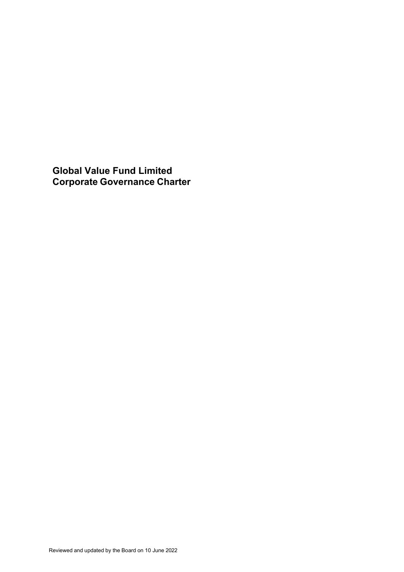**Global Value Fund Limited Corporate Governance Charter**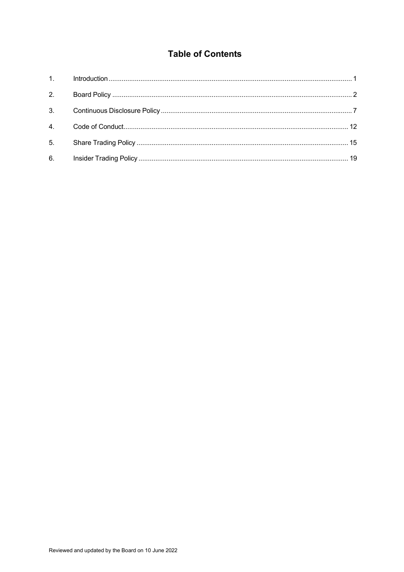# **Table of Contents**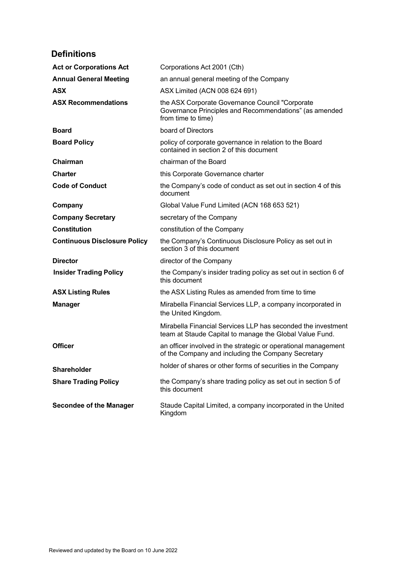# **Definitions**

| <b>Act or Corporations Act</b>      | Corporations Act 2001 (Cth)                                                                                                     |
|-------------------------------------|---------------------------------------------------------------------------------------------------------------------------------|
| <b>Annual General Meeting</b>       | an annual general meeting of the Company                                                                                        |
| <b>ASX</b>                          | ASX Limited (ACN 008 624 691)                                                                                                   |
| <b>ASX Recommendations</b>          | the ASX Corporate Governance Council "Corporate<br>Governance Principles and Recommendations" (as amended<br>from time to time) |
| <b>Board</b>                        | board of Directors                                                                                                              |
| <b>Board Policy</b>                 | policy of corporate governance in relation to the Board<br>contained in section 2 of this document                              |
| Chairman                            | chairman of the Board                                                                                                           |
| <b>Charter</b>                      | this Corporate Governance charter                                                                                               |
| <b>Code of Conduct</b>              | the Company's code of conduct as set out in section 4 of this<br>document                                                       |
| Company                             | Global Value Fund Limited (ACN 168 653 521)                                                                                     |
| <b>Company Secretary</b>            | secretary of the Company                                                                                                        |
| <b>Constitution</b>                 | constitution of the Company                                                                                                     |
| <b>Continuous Disclosure Policy</b> | the Company's Continuous Disclosure Policy as set out in<br>section 3 of this document                                          |
| <b>Director</b>                     | director of the Company                                                                                                         |
| <b>Insider Trading Policy</b>       | the Company's insider trading policy as set out in section 6 of<br>this document                                                |
| <b>ASX Listing Rules</b>            | the ASX Listing Rules as amended from time to time                                                                              |
| <b>Manager</b>                      | Mirabella Financial Services LLP, a company incorporated in<br>the United Kingdom.                                              |
|                                     | Mirabella Financial Services LLP has seconded the investment<br>team at Staude Capital to manage the Global Value Fund.         |
| <b>Officer</b>                      | an officer involved in the strategic or operational management<br>of the Company and including the Company Secretary            |
| <b>Shareholder</b>                  | holder of shares or other forms of securities in the Company                                                                    |
| <b>Share Trading Policy</b>         | the Company's share trading policy as set out in section 5 of<br>this document                                                  |
| <b>Secondee of the Manager</b>      | Staude Capital Limited, a company incorporated in the United<br>Kingdom                                                         |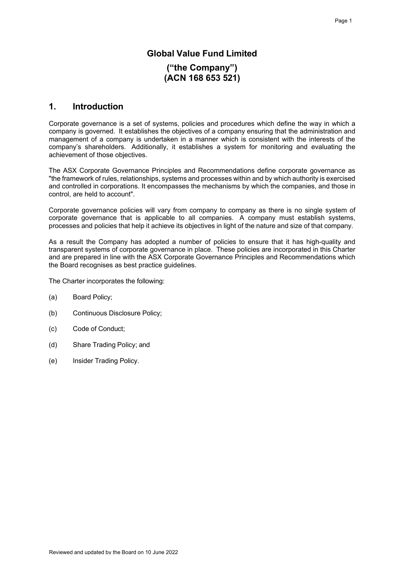## **Global Value Fund Limited**

## **("the Company") (ACN 168 653 521)**

## **1. Introduction**

Corporate governance is a set of systems, policies and procedures which define the way in which a company is governed. It establishes the objectives of a company ensuring that the administration and management of a company is undertaken in a manner which is consistent with the interests of the company's shareholders. Additionally, it establishes a system for monitoring and evaluating the achievement of those objectives.

The ASX Corporate Governance Principles and Recommendations define corporate governance as "the framework of rules, relationships, systems and processes within and by which authority is exercised and controlled in corporations. It encompasses the mechanisms by which the companies, and those in control, are held to account".

Corporate governance policies will vary from company to company as there is no single system of corporate governance that is applicable to all companies. A company must establish systems, processes and policies that help it achieve its objectives in light of the nature and size of that company.

As a result the Company has adopted a number of policies to ensure that it has high-quality and transparent systems of corporate governance in place. These policies are incorporated in this Charter and are prepared in line with the ASX Corporate Governance Principles and Recommendations which the Board recognises as best practice guidelines.

The Charter incorporates the following:

- (a) Board Policy;
- (b) Continuous Disclosure Policy;
- (c) Code of Conduct;
- (d) Share Trading Policy; and
- (e) Insider Trading Policy.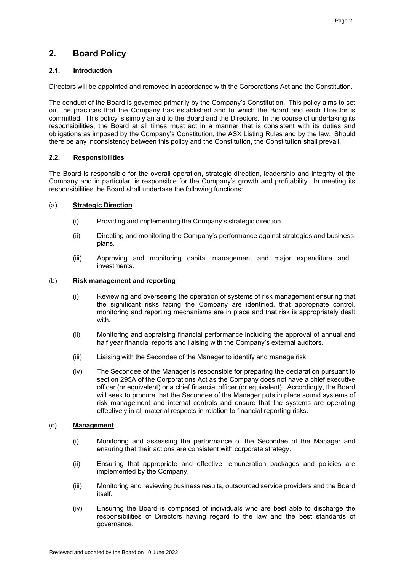## **2. Board Policy**

## **2.1. Introduction**

Directors will be appointed and removed in accordance with the Corporations Act and the Constitution.

The conduct of the Board is governed primarily by the Company's Constitution. This policy aims to set out the practices that the Company has established and to which the Board and each Director is committed. This policy is simply an aid to the Board and the Directors. In the course of undertaking its responsibilities, the Board at all times must act in a manner that is consistent with its duties and obligations as imposed by the Company's Constitution, the ASX Listing Rules and by the law. Should there be any inconsistency between this policy and the Constitution, the Constitution shall prevail.

## **2.2. Responsibilities**

The Board is responsible for the overall operation, strategic direction, leadership and integrity of the Company and in particular, is responsible for the Company's growth and profitability. In meeting its responsibilities the Board shall undertake the following functions:

## (a) **Strategic Direction**

- (i) Providing and implementing the Company's strategic direction.
- (ii) Directing and monitoring the Company's performance against strategies and business plans.
- (iii) Approving and monitoring capital management and major expenditure and investments.

## (b) **Risk management and reporting**

- (i) Reviewing and overseeing the operation of systems of risk management ensuring that the significant risks facing the Company are identified, that appropriate control, monitoring and reporting mechanisms are in place and that risk is appropriately dealt with.
- (ii) Monitoring and appraising financial performance including the approval of annual and half year financial reports and liaising with the Company's external auditors.
- (iii) Liaising with the Secondee of the Manager to identify and manage risk.
- (iv) The Secondee of the Manager is responsible for preparing the declaration pursuant to section 295A of the Corporations Act as the Company does not have a chief executive officer (or equivalent) or a chief financial officer (or equivalent). Accordingly, the Board will seek to procure that the Secondee of the Manager puts in place sound systems of risk management and internal controls and ensure that the systems are operating effectively in all material respects in relation to financial reporting risks.

## (c) **Management**

- (i) Monitoring and assessing the performance of the Secondee of the Manager and ensuring that their actions are consistent with corporate strategy.
- (ii) Ensuring that appropriate and effective remuneration packages and policies are implemented by the Company.
- (iii) Monitoring and reviewing business results, outsourced service providers and the Board itself.
- (iv) Ensuring the Board is comprised of individuals who are best able to discharge the responsibilities of Directors having regard to the law and the best standards of governance.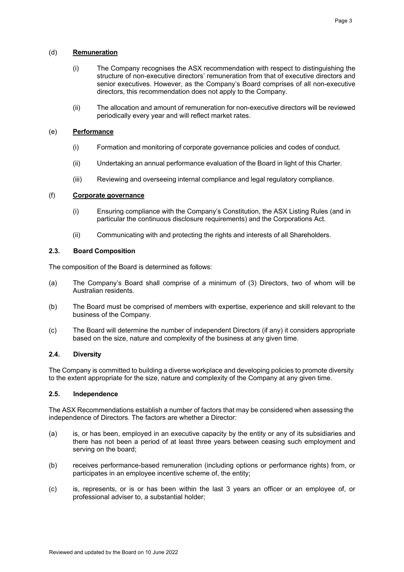#### (d) **Remuneration**

- (i) The Company recognises the ASX recommendation with respect to distinguishing the structure of non-executive directors' remuneration from that of executive directors and senior executives. However, as the Company's Board comprises of all non-executive directors, this recommendation does not apply to the Company.
- (ii) The allocation and amount of remuneration for non-executive directors will be reviewed periodically every year and will reflect market rates.

## (e) **Performance**

- (i) Formation and monitoring of corporate governance policies and codes of conduct.
- (ii) Undertaking an annual performance evaluation of the Board in light of this Charter.
- (iii) Reviewing and overseeing internal compliance and legal regulatory compliance.

#### (f) **Corporate governance**

- (i) Ensuring compliance with the Company's Constitution, the ASX Listing Rules (and in particular the continuous disclosure requirements) and the Corporations Act.
- (ii) Communicating with and protecting the rights and interests of all Shareholders.

## **2.3. Board Composition**

The composition of the Board is determined as follows:

- (a) The Company's Board shall comprise of a minimum of (3) Directors, two of whom will be Australian residents.
- (b) The Board must be comprised of members with expertise, experience and skill relevant to the business of the Company.
- (c) The Board will determine the number of independent Directors (if any) it considers appropriate based on the size, nature and complexity of the business at any given time.

## **2.4. Diversity**

The Company is committed to building a diverse workplace and developing policies to promote diversity to the extent appropriate for the size, nature and complexity of the Company at any given time.

#### **2.5. Independence**

The ASX Recommendations establish a number of factors that may be considered when assessing the independence of Directors. The factors are whether a Director:

- (a) is, or has been, employed in an executive capacity by the entity or any of its subsidiaries and there has not been a period of at least three years between ceasing such employment and serving on the board;
- (b) receives performance-based remuneration (including options or performance rights) from, or participates in an employee incentive scheme of, the entity;
- (c) is, represents, or is or has been within the last 3 years an officer or an employee of, or professional adviser to, a substantial holder;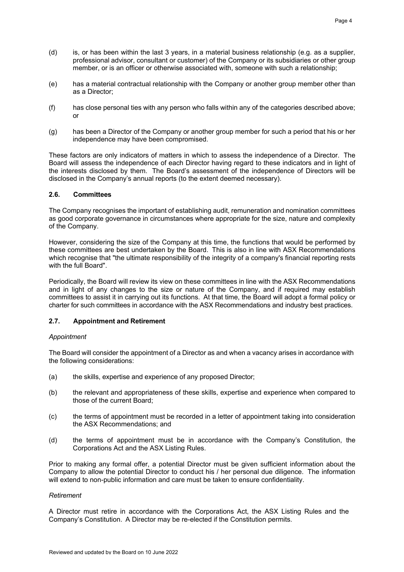- (d) is, or has been within the last 3 years, in a material business relationship (e.g. as a supplier, professional advisor, consultant or customer) of the Company or its subsidiaries or other group member, or is an officer or otherwise associated with, someone with such a relationship;
- (e) has a material contractual relationship with the Company or another group member other than as a Director;
- (f) has close personal ties with any person who falls within any of the categories described above; or
- (g) has been a Director of the Company or another group member for such a period that his or her independence may have been compromised.

These factors are only indicators of matters in which to assess the independence of a Director. The Board will assess the independence of each Director having regard to these indicators and in light of the interests disclosed by them. The Board's assessment of the independence of Directors will be disclosed in the Company's annual reports (to the extent deemed necessary).

## **2.6. Committees**

The Company recognises the important of establishing audit, remuneration and nomination committees as good corporate governance in circumstances where appropriate for the size, nature and complexity of the Company.

However, considering the size of the Company at this time, the functions that would be performed by these committees are best undertaken by the Board. This is also in line with ASX Recommendations which recognise that "the ultimate responsibility of the integrity of a company's financial reporting rests with the full Board".

Periodically, the Board will review its view on these committees in line with the ASX Recommendations and in light of any changes to the size or nature of the Company, and if required may establish committees to assist it in carrying out its functions. At that time, the Board will adopt a formal policy or charter for such committees in accordance with the ASX Recommendations and industry best practices.

## **2.7. Appointment and Retirement**

## *Appointment*

The Board will consider the appointment of a Director as and when a vacancy arises in accordance with the following considerations:

- (a) the skills, expertise and experience of any proposed Director;
- (b) the relevant and appropriateness of these skills, expertise and experience when compared to those of the current Board;
- (c) the terms of appointment must be recorded in a letter of appointment taking into consideration the ASX Recommendations; and
- (d) the terms of appointment must be in accordance with the Company's Constitution, the Corporations Act and the ASX Listing Rules.

Prior to making any formal offer, a potential Director must be given sufficient information about the Company to allow the potential Director to conduct his / her personal due diligence. The information will extend to non-public information and care must be taken to ensure confidentiality.

## *Retirement*

A Director must retire in accordance with the Corporations Act, the ASX Listing Rules and the Company's Constitution. A Director may be re-elected if the Constitution permits.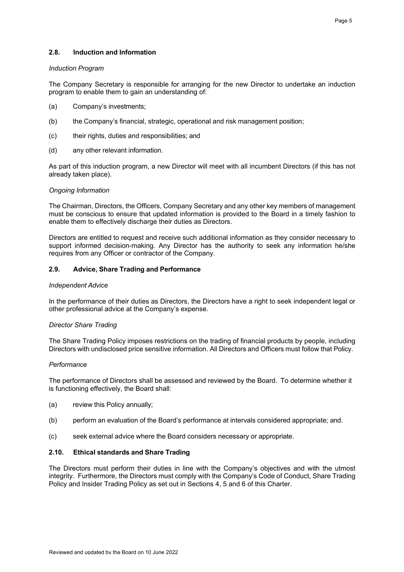## **2.8. Induction and Information**

#### *Induction Program*

The Company Secretary is responsible for arranging for the new Director to undertake an induction program to enable them to gain an understanding of:

- (a) Company's investments;
- (b) the Company's financial, strategic, operational and risk management position;
- (c) their rights, duties and responsibilities; and
- (d) any other relevant information.

As part of this induction program, a new Director will meet with all incumbent Directors (if this has not already taken place).

## *Ongoing Information*

The Chairman, Directors, the Officers, Company Secretary and any other key members of management must be conscious to ensure that updated information is provided to the Board in a timely fashion to enable them to effectively discharge their duties as Directors.

Directors are entitled to request and receive such additional information as they consider necessary to support informed decision-making. Any Director has the authority to seek any information he/she requires from any Officer or contractor of the Company.

## **2.9. Advice, Share Trading and Performance**

#### *Independent Advice*

In the performance of their duties as Directors, the Directors have a right to seek independent legal or other professional advice at the Company's expense.

## *Director Share Trading*

The Share Trading Policy imposes restrictions on the trading of financial products by people, including Directors with undisclosed price sensitive information. All Directors and Officers must follow that Policy.

## *Performance*

The performance of Directors shall be assessed and reviewed by the Board. To determine whether it is functioning effectively, the Board shall:

- (a) review this Policy annually;
- (b) perform an evaluation of the Board's performance at intervals considered appropriate; and.
- (c) seek external advice where the Board considers necessary or appropriate.

## **2.10. Ethical standards and Share Trading**

The Directors must perform their duties in line with the Company's objectives and with the utmost integrity. Furthermore, the Directors must comply with the Company's Code of Conduct, Share Trading Policy and Insider Trading Policy as set out in Sections 4, 5 and 6 of this Charter.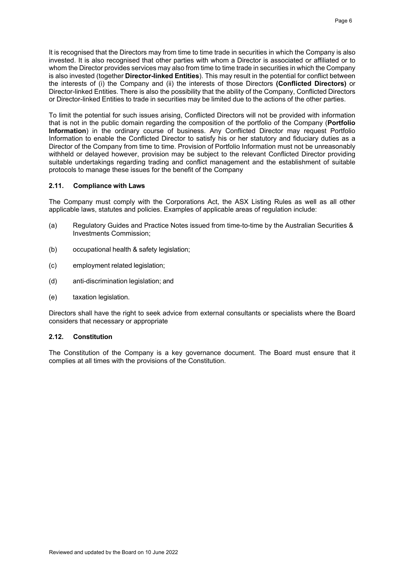It is recognised that the Directors may from time to time trade in securities in which the Company is also invested. It is also recognised that other parties with whom a Director is associated or affiliated or to whom the Director provides services may also from time to time trade in securities in which the Company is also invested (together **Director-linked Entities**). This may result in the potential for conflict between the interests of (i) the Company and (ii) the interests of those Directors **(Conflicted Directors)** or Director-linked Entities. There is also the possibility that the ability of the Company, Conflicted Directors or Director-linked Entities to trade in securities may be limited due to the actions of the other parties.

To limit the potential for such issues arising, Conflicted Directors will not be provided with information that is not in the public domain regarding the composition of the portfolio of the Company (**Portfolio Information**) in the ordinary course of business. Any Conflicted Director may request Portfolio Information to enable the Conflicted Director to satisfy his or her statutory and fiduciary duties as a Director of the Company from time to time. Provision of Portfolio Information must not be unreasonably withheld or delayed however, provision may be subject to the relevant Conflicted Director providing suitable undertakings regarding trading and conflict management and the establishment of suitable protocols to manage these issues for the benefit of the Company

#### **2.11. Compliance with Laws**

The Company must comply with the Corporations Act, the ASX Listing Rules as well as all other applicable laws, statutes and policies. Examples of applicable areas of regulation include:

- (a) Regulatory Guides and Practice Notes issued from time-to-time by the Australian Securities & Investments Commission;
- (b) occupational health & safety legislation;
- (c) employment related legislation;
- (d) anti-discrimination legislation; and
- (e) taxation legislation.

Directors shall have the right to seek advice from external consultants or specialists where the Board considers that necessary or appropriate

#### **2.12. Constitution**

The Constitution of the Company is a key governance document. The Board must ensure that it complies at all times with the provisions of the Constitution.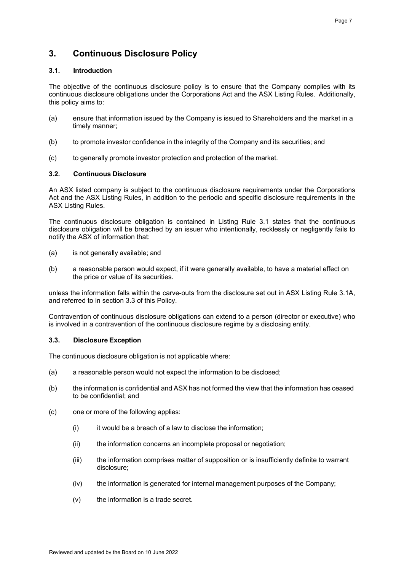## **3. Continuous Disclosure Policy**

## **3.1. Introduction**

The objective of the continuous disclosure policy is to ensure that the Company complies with its continuous disclosure obligations under the Corporations Act and the ASX Listing Rules. Additionally, this policy aims to:

- (a) ensure that information issued by the Company is issued to Shareholders and the market in a timely manner;
- (b) to promote investor confidence in the integrity of the Company and its securities; and
- (c) to generally promote investor protection and protection of the market.

## **3.2. Continuous Disclosure**

An ASX listed company is subject to the continuous disclosure requirements under the Corporations Act and the ASX Listing Rules, in addition to the periodic and specific disclosure requirements in the ASX Listing Rules.

The continuous disclosure obligation is contained in Listing Rule 3.1 states that the continuous disclosure obligation will be breached by an issuer who intentionally, recklessly or negligently fails to notify the ASX of information that:

- (a) is not generally available; and
- (b) a reasonable person would expect, if it were generally available, to have a material effect on the price or value of its securities.

unless the information falls within the carve-outs from the disclosure set out in ASX Listing Rule 3.1A, and referred to in section 3.3 of this Policy.

Contravention of continuous disclosure obligations can extend to a person (director or executive) who is involved in a contravention of the continuous disclosure regime by a disclosing entity.

## **3.3. Disclosure Exception**

The continuous disclosure obligation is not applicable where:

- (a) a reasonable person would not expect the information to be disclosed;
- (b) the information is confidential and ASX has not formed the view that the information has ceased to be confidential; and
- (c) one or more of the following applies:
	- $(i)$  it would be a breach of a law to disclose the information;
	- (ii) the information concerns an incomplete proposal or negotiation;
	- (iii) the information comprises matter of supposition or is insufficiently definite to warrant disclosure;
	- (iv) the information is generated for internal management purposes of the Company;
	- $(v)$  the information is a trade secret.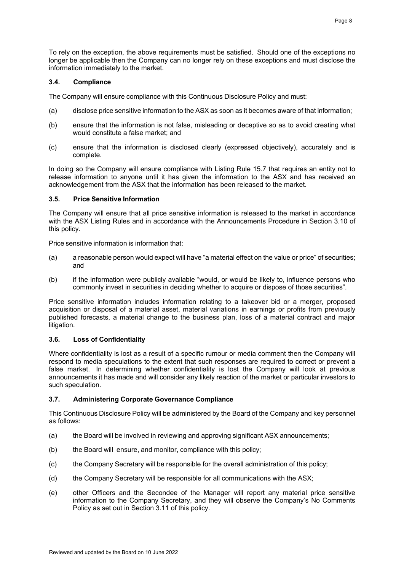To rely on the exception, the above requirements must be satisfied. Should one of the exceptions no longer be applicable then the Company can no longer rely on these exceptions and must disclose the information immediately to the market.

## **3.4. Compliance**

The Company will ensure compliance with this Continuous Disclosure Policy and must:

- (a) disclose price sensitive information to the ASX as soon as it becomes aware of that information;
- (b) ensure that the information is not false, misleading or deceptive so as to avoid creating what would constitute a false market; and
- (c) ensure that the information is disclosed clearly (expressed objectively), accurately and is complete.

In doing so the Company will ensure compliance with Listing Rule 15.7 that requires an entity not to release information to anyone until it has given the information to the ASX and has received an acknowledgement from the ASX that the information has been released to the market.

## **3.5. Price Sensitive Information**

The Company will ensure that all price sensitive information is released to the market in accordance with the ASX Listing Rules and in accordance with the Announcements Procedure in Section 3.10 of this policy.

Price sensitive information is information that:

- (a) a reasonable person would expect will have "a material effect on the value or price" of securities; and
- (b) if the information were publicly available "would, or would be likely to, influence persons who commonly invest in securities in deciding whether to acquire or dispose of those securities".

Price sensitive information includes information relating to a takeover bid or a merger, proposed acquisition or disposal of a material asset, material variations in earnings or profits from previously published forecasts, a material change to the business plan, loss of a material contract and major litigation.

## **3.6. Loss of Confidentiality**

Where confidentiality is lost as a result of a specific rumour or media comment then the Company will respond to media speculations to the extent that such responses are required to correct or prevent a false market. In determining whether confidentiality is lost the Company will look at previous announcements it has made and will consider any likely reaction of the market or particular investors to such speculation.

## **3.7. Administering Corporate Governance Compliance**

This Continuous Disclosure Policy will be administered by the Board of the Company and key personnel as follows:

- (a) the Board will be involved in reviewing and approving significant ASX announcements;
- (b) the Board will ensure, and monitor, compliance with this policy;
- (c) the Company Secretary will be responsible for the overall administration of this policy;
- (d) the Company Secretary will be responsible for all communications with the ASX;
- (e) other Officers and the Secondee of the Manager will report any material price sensitive information to the Company Secretary, and they will observe the Company's No Comments Policy as set out in Section 3.11 of this policy.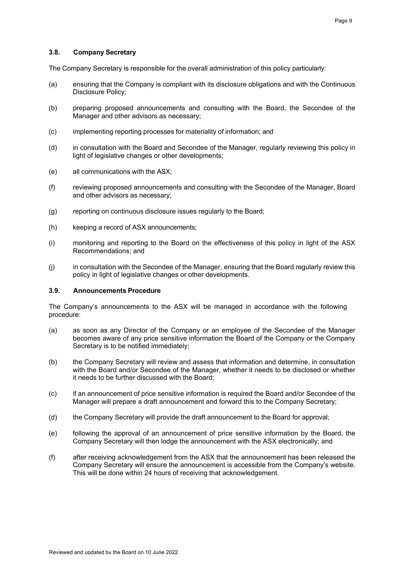## **3.8. Company Secretary**

The Company Secretary is responsible for the overall administration of this policy particularly:

- (a) ensuring that the Company is compliant with its disclosure obligations and with the Continuous Disclosure Policy;
- (b) preparing proposed announcements and consulting with the Board, the Secondee of the Manager and other advisors as necessary;
- (c) implementing reporting processes for materiality of information; and
- (d) in consultation with the Board and Secondee of the Manager, regularly reviewing this policy in light of legislative changes or other developments;
- (e) all communications with the ASX;
- (f) reviewing proposed announcements and consulting with the Secondee of the Manager, Board and other advisors as necessary;
- (g) reporting on continuous disclosure issues regularly to the Board;
- (h) keeping a record of ASX announcements;
- (i) monitoring and reporting to the Board on the effectiveness of this policy in light of the ASX Recommendations; and
- (j) in consultation with the Secondee of the Manager, ensuring that the Board regularly review this policy in light of legislative changes or other developments.

#### **3.9. Announcements Procedure**

The Company's announcements to the ASX will be managed in accordance with the following procedure:

- (a) as soon as any Director of the Company or an employee of the Secondee of the Manager becomes aware of any price sensitive information the Board of the Company or the Company Secretary is to be notified immediately;
- (b) the Company Secretary will review and assess that information and determine, in consultation with the Board and/or Secondee of the Manager, whether it needs to be disclosed or whether it needs to be further discussed with the Board;
- (c) if an announcement of price sensitive information is required the Board and/or Secondee of the Manager will prepare a draft announcement and forward this to the Company Secretary;
- (d) the Company Secretary will provide the draft announcement to the Board for approval;
- (e) following the approval of an announcement of price sensitive information by the Board, the Company Secretary will then lodge the announcement with the ASX electronically; and
- (f) after receiving acknowledgement from the ASX that the announcement has been released the Company Secretary will ensure the announcement is accessible from the Company's website. This will be done within 24 hours of receiving that acknowledgement.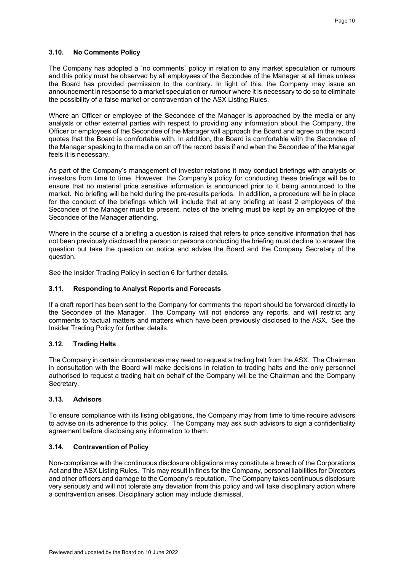#### **3.10. No Comments Policy**

The Company has adopted a "no comments" policy in relation to any market speculation or rumours and this policy must be observed by all employees of the Secondee of the Manager at all times unless the Board has provided permission to the contrary. In light of this, the Company may issue an announcement in response to a market speculation or rumour where it is necessary to do so to eliminate the possibility of a false market or contravention of the ASX Listing Rules.

Where an Officer or employee of the Secondee of the Manager is approached by the media or any analysts or other external parties with respect to providing any information about the Company, the Officer or employees of the Secondee of the Manager will approach the Board and agree on the record quotes that the Board is comfortable with. In addition, the Board is comfortable with the Secondee of the Manager speaking to the media on an off the record basis if and when the Secondee of the Manager feels it is necessary.

As part of the Company's management of investor relations it may conduct briefings with analysts or investors from time to time. However, the Company's policy for conducting these briefings will be to ensure that no material price sensitive information is announced prior to it being announced to the market. No briefing will be held during the pre-results periods. In addition, a procedure will be in place for the conduct of the briefings which will include that at any briefing at least 2 employees of the Secondee of the Manager must be present, notes of the briefing must be kept by an employee of the Secondee of the Manager attending.

Where in the course of a briefing a question is raised that refers to price sensitive information that has not been previously disclosed the person or persons conducting the briefing must decline to answer the question but take the question on notice and advise the Board and the Company Secretary of the question.

See the Insider Trading Policy in section 6 for further details.

## **3.11. Responding to Analyst Reports and Forecasts**

If a draft report has been sent to the Company for comments the report should be forwarded directly to the Secondee of the Manager. The Company will not endorse any reports, and will restrict any comments to factual matters and matters which have been previously disclosed to the ASX. See the Insider Trading Policy for further details.

## **3.12. Trading Halts**

The Company in certain circumstances may need to request a trading halt from the ASX. The Chairman in consultation with the Board will make decisions in relation to trading halts and the only personnel authorised to request a trading halt on behalf of the Company will be the Chairman and the Company Secretary.

## **3.13. Advisors**

To ensure compliance with its listing obligations, the Company may from time to time require advisors to advise on its adherence to this policy. The Company may ask such advisors to sign a confidentiality agreement before disclosing any information to them.

## **3.14. Contravention of Policy**

Non-compliance with the continuous disclosure obligations may constitute a breach of the Corporations Act and the ASX Listing Rules. This may result in fines for the Company, personal liabilities for Directors and other officers and damage to the Company's reputation. The Company takes continuous disclosure very seriously and will not tolerate any deviation from this policy and will take disciplinary action where a contravention arises. Disciplinary action may include dismissal.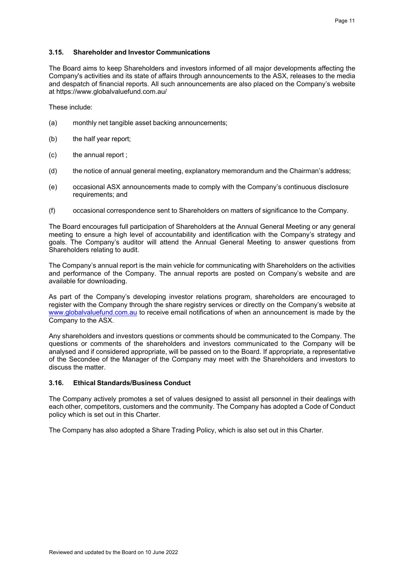## **3.15. Shareholder and Investor Communications**

The Board aims to keep Shareholders and investors informed of all major developments affecting the Company's activities and its state of affairs through announcements to the ASX, releases to the media and despatch of financial reports. All such announcements are also placed on the Company's website at https://www.globalvaluefund.com.au/

These include:

- (a) monthly net tangible asset backing announcements;
- (b) the half year report;
- (c) the annual report ;
- (d) the notice of annual general meeting, explanatory memorandum and the Chairman's address;
- (e) occasional ASX announcements made to comply with the Company's continuous disclosure requirements; and
- (f) occasional correspondence sent to Shareholders on matters of significance to the Company.

The Board encourages full participation of Shareholders at the Annual General Meeting or any general meeting to ensure a high level of accountability and identification with the Company's strategy and goals. The Company's auditor will attend the Annual General Meeting to answer questions from Shareholders relating to audit.

The Company's annual report is the main vehicle for communicating with Shareholders on the activities and performance of the Company. The annual reports are posted on Company's website and are available for downloading.

As part of the Company's developing investor relations program, shareholders are encouraged to register with the Company through the share registry services or directly on the Company's website at www.globalvaluefund.com.au to receive email notifications of when an announcement is made by the Company to the ASX.

Any shareholders and investors questions or comments should be communicated to the Company. The questions or comments of the shareholders and investors communicated to the Company will be analysed and if considered appropriate, will be passed on to the Board. If appropriate, a representative of the Secondee of the Manager of the Company may meet with the Shareholders and investors to discuss the matter.

## **3.16. Ethical Standards/Business Conduct**

The Company actively promotes a set of values designed to assist all personnel in their dealings with each other, competitors, customers and the community. The Company has adopted a Code of Conduct policy which is set out in this Charter.

The Company has also adopted a Share Trading Policy, which is also set out in this Charter.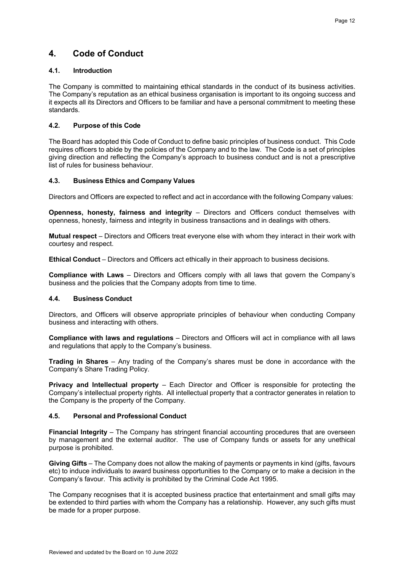## **4. Code of Conduct**

## **4.1. Introduction**

The Company is committed to maintaining ethical standards in the conduct of its business activities. The Company's reputation as an ethical business organisation is important to its ongoing success and it expects all its Directors and Officers to be familiar and have a personal commitment to meeting these standards.

## **4.2. Purpose of this Code**

The Board has adopted this Code of Conduct to define basic principles of business conduct. This Code requires officers to abide by the policies of the Company and to the law. The Code is a set of principles giving direction and reflecting the Company's approach to business conduct and is not a prescriptive list of rules for business behaviour.

## **4.3. Business Ethics and Company Values**

Directors and Officers are expected to reflect and act in accordance with the following Company values:

**Openness, honesty, fairness and integrity** – Directors and Officers conduct themselves with openness, honesty, fairness and integrity in business transactions and in dealings with others.

**Mutual respect** – Directors and Officers treat everyone else with whom they interact in their work with courtesy and respect.

**Ethical Conduct** – Directors and Officers act ethically in their approach to business decisions.

**Compliance with Laws** – Directors and Officers comply with all laws that govern the Company's business and the policies that the Company adopts from time to time.

## **4.4. Business Conduct**

Directors, and Officers will observe appropriate principles of behaviour when conducting Company business and interacting with others.

**Compliance with laws and regulations** – Directors and Officers will act in compliance with all laws and regulations that apply to the Company's business.

**Trading in Shares** – Any trading of the Company's shares must be done in accordance with the Company's Share Trading Policy.

**Privacy and Intellectual property** – Each Director and Officer is responsible for protecting the Company's intellectual property rights. All intellectual property that a contractor generates in relation to the Company is the property of the Company.

## **4.5. Personal and Professional Conduct**

**Financial Integrity** – The Company has stringent financial accounting procedures that are overseen by management and the external auditor. The use of Company funds or assets for any unethical purpose is prohibited.

**Giving Gifts** – The Company does not allow the making of payments or payments in kind (gifts, favours etc) to induce individuals to award business opportunities to the Company or to make a decision in the Company's favour. This activity is prohibited by the Criminal Code Act 1995.

The Company recognises that it is accepted business practice that entertainment and small gifts may be extended to third parties with whom the Company has a relationship. However, any such gifts must be made for a proper purpose.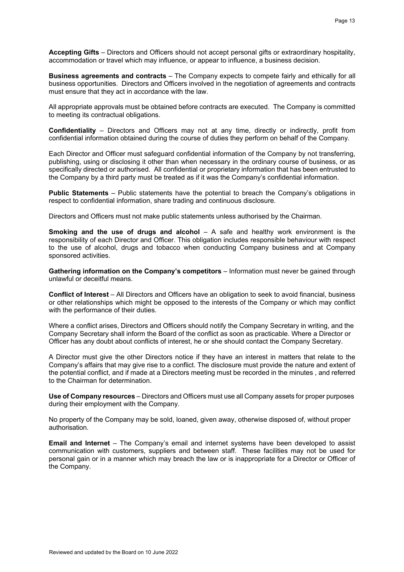**Accepting Gifts** – Directors and Officers should not accept personal gifts or extraordinary hospitality, accommodation or travel which may influence, or appear to influence, a business decision.

**Business agreements and contracts** – The Company expects to compete fairly and ethically for all business opportunities. Directors and Officers involved in the negotiation of agreements and contracts must ensure that they act in accordance with the law.

All appropriate approvals must be obtained before contracts are executed. The Company is committed to meeting its contractual obligations.

**Confidentiality** – Directors and Officers may not at any time, directly or indirectly, profit from confidential information obtained during the course of duties they perform on behalf of the Company.

Each Director and Officer must safeguard confidential information of the Company by not transferring, publishing, using or disclosing it other than when necessary in the ordinary course of business, or as specifically directed or authorised. All confidential or proprietary information that has been entrusted to the Company by a third party must be treated as if it was the Company's confidential information.

**Public Statements** – Public statements have the potential to breach the Company's obligations in respect to confidential information, share trading and continuous disclosure.

Directors and Officers must not make public statements unless authorised by the Chairman.

**Smoking and the use of drugs and alcohol** – A safe and healthy work environment is the responsibility of each Director and Officer. This obligation includes responsible behaviour with respect to the use of alcohol, drugs and tobacco when conducting Company business and at Company sponsored activities.

**Gathering information on the Company's competitors** – Information must never be gained through unlawful or deceitful means.

**Conflict of Interest** – All Directors and Officers have an obligation to seek to avoid financial, business or other relationships which might be opposed to the interests of the Company or which may conflict with the performance of their duties.

Where a conflict arises, Directors and Officers should notify the Company Secretary in writing, and the Company Secretary shall inform the Board of the conflict as soon as practicable. Where a Director or Officer has any doubt about conflicts of interest, he or she should contact the Company Secretary.

A Director must give the other Directors notice if they have an interest in matters that relate to the Company's affairs that may give rise to a conflict. The disclosure must provide the nature and extent of the potential conflict, and if made at a Directors meeting must be recorded in the minutes , and referred to the Chairman for determination.

**Use of Company resources** – Directors and Officers must use all Company assets for proper purposes during their employment with the Company.

No property of the Company may be sold, loaned, given away, otherwise disposed of, without proper authorisation.

**Email and Internet** – The Company's email and internet systems have been developed to assist communication with customers, suppliers and between staff. These facilities may not be used for personal gain or in a manner which may breach the law or is inappropriate for a Director or Officer of the Company.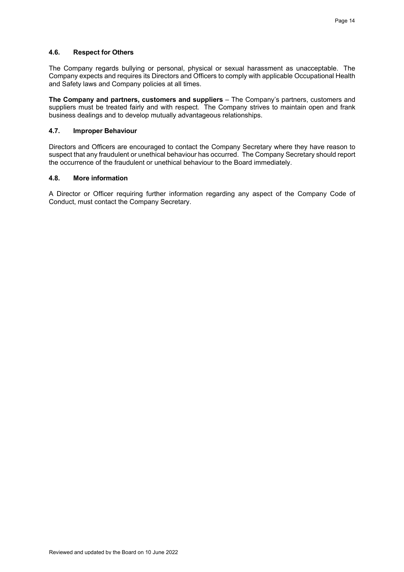## **4.6. Respect for Others**

The Company regards bullying or personal, physical or sexual harassment as unacceptable. The Company expects and requires its Directors and Officers to comply with applicable Occupational Health and Safety laws and Company policies at all times.

**The Company and partners, customers and suppliers** – The Company's partners, customers and suppliers must be treated fairly and with respect. The Company strives to maintain open and frank business dealings and to develop mutually advantageous relationships.

#### **4.7. Improper Behaviour**

Directors and Officers are encouraged to contact the Company Secretary where they have reason to suspect that any fraudulent or unethical behaviour has occurred. The Company Secretary should report the occurrence of the fraudulent or unethical behaviour to the Board immediately.

#### **4.8. More information**

A Director or Officer requiring further information regarding any aspect of the Company Code of Conduct, must contact the Company Secretary.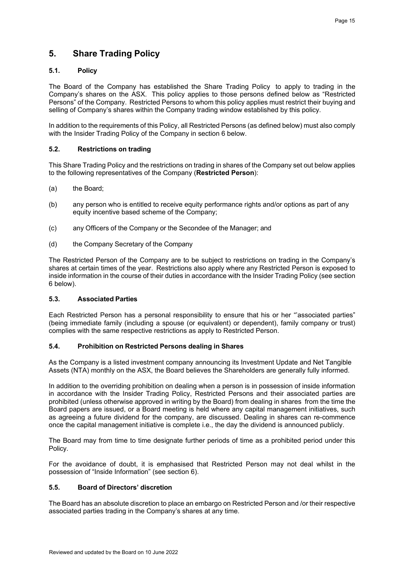## **5. Share Trading Policy**

## **5.1. Policy**

The Board of the Company has established the Share Trading Policy to apply to trading in the Company's shares on the ASX. This policy applies to those persons defined below as "Restricted Persons" of the Company. Restricted Persons to whom this policy applies must restrict their buying and selling of Company's shares within the Company trading window established by this policy.

In addition to the requirements of this Policy, all Restricted Persons (as defined below) must also comply with the Insider Trading Policy of the Company in section 6 below.

## **5.2. Restrictions on trading**

This Share Trading Policy and the restrictions on trading in shares of the Company set out below applies to the following representatives of the Company (**Restricted Person**):

- (a) the Board;
- (b) any person who is entitled to receive equity performance rights and/or options as part of any equity incentive based scheme of the Company;
- (c) any Officers of the Company or the Secondee of the Manager; and
- (d) the Company Secretary of the Company

The Restricted Person of the Company are to be subject to restrictions on trading in the Company's shares at certain times of the year. Restrictions also apply where any Restricted Person is exposed to inside information in the course of their duties in accordance with the Insider Trading Policy (see section 6 below).

## **5.3. Associated Parties**

Each Restricted Person has a personal responsibility to ensure that his or her "'associated parties" (being immediate family (including a spouse (or equivalent) or dependent), family company or trust) complies with the same respective restrictions as apply to Restricted Person.

## **5.4. Prohibition on Restricted Persons dealing in Shares**

As the Company is a listed investment company announcing its Investment Update and Net Tangible Assets (NTA) monthly on the ASX, the Board believes the Shareholders are generally fully informed.

In addition to the overriding prohibition on dealing when a person is in possession of inside information in accordance with the Insider Trading Policy, Restricted Persons and their associated parties are prohibited (unless otherwise approved in writing by the Board) from dealing in shares from the time the Board papers are issued, or a Board meeting is held where any capital management initiatives, such as agreeing a future dividend for the company, are discussed. Dealing in shares can re-commence once the capital management initiative is complete i.e., the day the dividend is announced publicly.

The Board may from time to time designate further periods of time as a prohibited period under this Policy.

For the avoidance of doubt, it is emphasised that Restricted Person may not deal whilst in the possession of "Inside Information" (see section 6).

## **5.5. Board of Directors' discretion**

The Board has an absolute discretion to place an embargo on Restricted Person and /or their respective associated parties trading in the Company's shares at any time.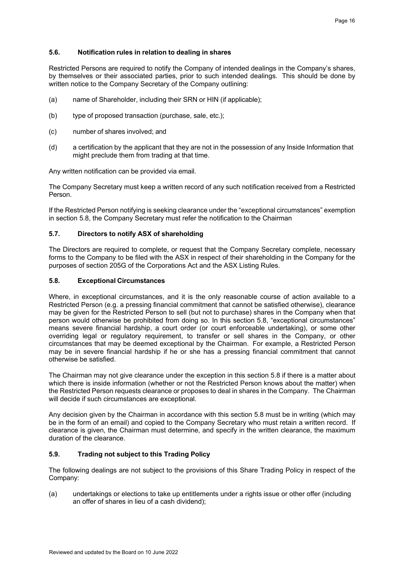## **5.6. Notification rules in relation to dealing in shares**

Restricted Persons are required to notify the Company of intended dealings in the Company's shares, by themselves or their associated parties, prior to such intended dealings. This should be done by written notice to the Company Secretary of the Company outlining:

- (a) name of Shareholder, including their SRN or HIN (if applicable);
- (b) type of proposed transaction (purchase, sale, etc.);
- (c) number of shares involved; and
- (d) a certification by the applicant that they are not in the possession of any Inside Information that might preclude them from trading at that time.

Any written notification can be provided via email.

The Company Secretary must keep a written record of any such notification received from a Restricted Person.

If the Restricted Person notifying is seeking clearance under the "exceptional circumstances" exemption in section 5.8, the Company Secretary must refer the notification to the Chairman

## **5.7. Directors to notify ASX of shareholding**

The Directors are required to complete, or request that the Company Secretary complete, necessary forms to the Company to be filed with the ASX in respect of their shareholding in the Company for the purposes of section 205G of the Corporations Act and the ASX Listing Rules.

## **5.8. Exceptional Circumstances**

Where, in exceptional circumstances, and it is the only reasonable course of action available to a Restricted Person (e.g. a pressing financial commitment that cannot be satisfied otherwise), clearance may be given for the Restricted Person to sell (but not to purchase) shares in the Company when that person would otherwise be prohibited from doing so. In this section 5.8, "exceptional circumstances" means severe financial hardship, a court order (or court enforceable undertaking), or some other overriding legal or regulatory requirement, to transfer or sell shares in the Company, or other circumstances that may be deemed exceptional by the Chairman. For example, a Restricted Person may be in severe financial hardship if he or she has a pressing financial commitment that cannot otherwise be satisfied.

The Chairman may not give clearance under the exception in this section 5.8 if there is a matter about which there is inside information (whether or not the Restricted Person knows about the matter) when the Restricted Person requests clearance or proposes to deal in shares in the Company. The Chairman will decide if such circumstances are exceptional.

Any decision given by the Chairman in accordance with this section 5.8 must be in writing (which may be in the form of an email) and copied to the Company Secretary who must retain a written record. If clearance is given, the Chairman must determine, and specify in the written clearance, the maximum duration of the clearance.

## **5.9. Trading not subject to this Trading Policy**

The following dealings are not subject to the provisions of this Share Trading Policy in respect of the Company:

(a) undertakings or elections to take up entitlements under a rights issue or other offer (including an offer of shares in lieu of a cash dividend);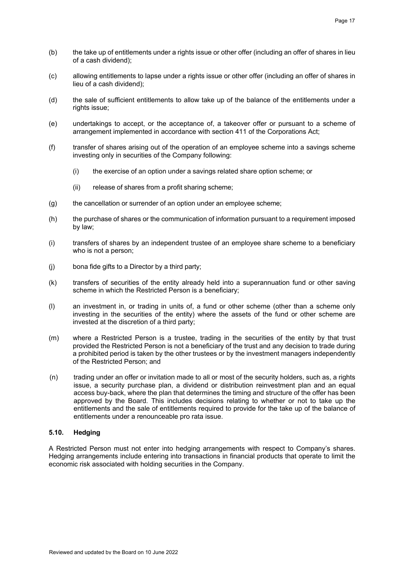- (b) the take up of entitlements under a rights issue or other offer (including an offer of shares in lieu of a cash dividend);
- (c) allowing entitlements to lapse under a rights issue or other offer (including an offer of shares in lieu of a cash dividend);
- (d) the sale of sufficient entitlements to allow take up of the balance of the entitlements under a rights issue;
- (e) undertakings to accept, or the acceptance of, a takeover offer or pursuant to a scheme of arrangement implemented in accordance with section 411 of the Corporations Act;
- (f) transfer of shares arising out of the operation of an employee scheme into a savings scheme investing only in securities of the Company following:
	- (i) the exercise of an option under a savings related share option scheme; or
	- (ii) release of shares from a profit sharing scheme;
- (g) the cancellation or surrender of an option under an employee scheme;
- (h) the purchase of shares or the communication of information pursuant to a requirement imposed by law;
- (i) transfers of shares by an independent trustee of an employee share scheme to a beneficiary who is not a person;
- (j) bona fide gifts to a Director by a third party;
- (k) transfers of securities of the entity already held into a superannuation fund or other saving scheme in which the Restricted Person is a beneficiary;
- (l) an investment in, or trading in units of, a fund or other scheme (other than a scheme only investing in the securities of the entity) where the assets of the fund or other scheme are invested at the discretion of a third party;
- (m) where a Restricted Person is a trustee, trading in the securities of the entity by that trust provided the Restricted Person is not a beneficiary of the trust and any decision to trade during a prohibited period is taken by the other trustees or by the investment managers independently of the Restricted Person; and
- (n) trading under an offer or invitation made to all or most of the security holders, such as, a rights issue, a security purchase plan, a dividend or distribution reinvestment plan and an equal access buy-back, where the plan that determines the timing and structure of the offer has been approved by the Board. This includes decisions relating to whether or not to take up the entitlements and the sale of entitlements required to provide for the take up of the balance of entitlements under a renounceable pro rata issue.

## **5.10. Hedging**

A Restricted Person must not enter into hedging arrangements with respect to Company's shares. Hedging arrangements include entering into transactions in financial products that operate to limit the economic risk associated with holding securities in the Company.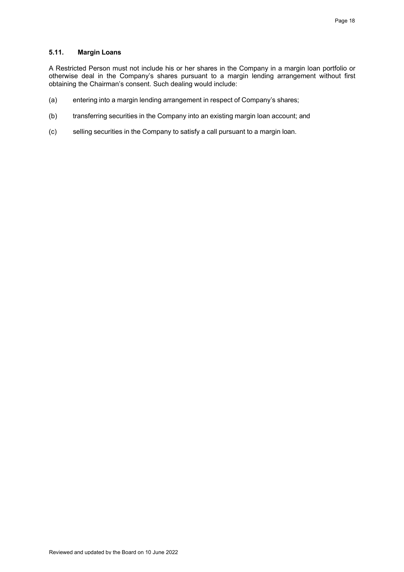## **5.11. Margin Loans**

A Restricted Person must not include his or her shares in the Company in a margin loan portfolio or otherwise deal in the Company's shares pursuant to a margin lending arrangement without first obtaining the Chairman's consent. Such dealing would include:

- (a) entering into a margin lending arrangement in respect of Company's shares;
- (b) transferring securities in the Company into an existing margin loan account; and
- (c) selling securities in the Company to satisfy a call pursuant to a margin loan.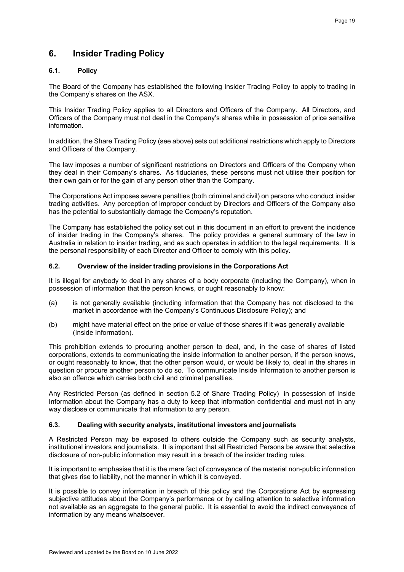## **6. Insider Trading Policy**

## **6.1. Policy**

The Board of the Company has established the following Insider Trading Policy to apply to trading in the Company's shares on the ASX.

This Insider Trading Policy applies to all Directors and Officers of the Company. All Directors, and Officers of the Company must not deal in the Company's shares while in possession of price sensitive information.

In addition, the Share Trading Policy (see above) sets out additional restrictions which apply to Directors and Officers of the Company.

The law imposes a number of significant restrictions on Directors and Officers of the Company when they deal in their Company's shares. As fiduciaries, these persons must not utilise their position for their own gain or for the gain of any person other than the Company.

The Corporations Act imposes severe penalties (both criminal and civil) on persons who conduct insider trading activities. Any perception of improper conduct by Directors and Officers of the Company also has the potential to substantially damage the Company's reputation.

The Company has established the policy set out in this document in an effort to prevent the incidence of insider trading in the Company's shares. The policy provides a general summary of the law in Australia in relation to insider trading, and as such operates in addition to the legal requirements. It is the personal responsibility of each Director and Officer to comply with this policy.

## **6.2. Overview of the insider trading provisions in the Corporations Act**

It is illegal for anybody to deal in any shares of a body corporate (including the Company), when in possession of information that the person knows, or ought reasonably to know:

- (a) is not generally available (including information that the Company has not disclosed to the market in accordance with the Company's Continuous Disclosure Policy); and
- (b) might have material effect on the price or value of those shares if it was generally available (Inside Information).

This prohibition extends to procuring another person to deal, and, in the case of shares of listed corporations, extends to communicating the inside information to another person, if the person knows, or ought reasonably to know, that the other person would, or would be likely to, deal in the shares in question or procure another person to do so. To communicate Inside Information to another person is also an offence which carries both civil and criminal penalties.

Any Restricted Person (as defined in section 5.2 of Share Trading Policy) in possession of Inside Information about the Company has a duty to keep that information confidential and must not in any way disclose or communicate that information to any person.

## **6.3. Dealing with security analysts, institutional investors and journalists**

A Restricted Person may be exposed to others outside the Company such as security analysts, institutional investors and journalists. It is important that all Restricted Persons be aware that selective disclosure of non-public information may result in a breach of the insider trading rules.

It is important to emphasise that it is the mere fact of conveyance of the material non-public information that gives rise to liability, not the manner in which it is conveyed.

It is possible to convey information in breach of this policy and the Corporations Act by expressing subjective attitudes about the Company's performance or by calling attention to selective information not available as an aggregate to the general public. It is essential to avoid the indirect conveyance of information by any means whatsoever.